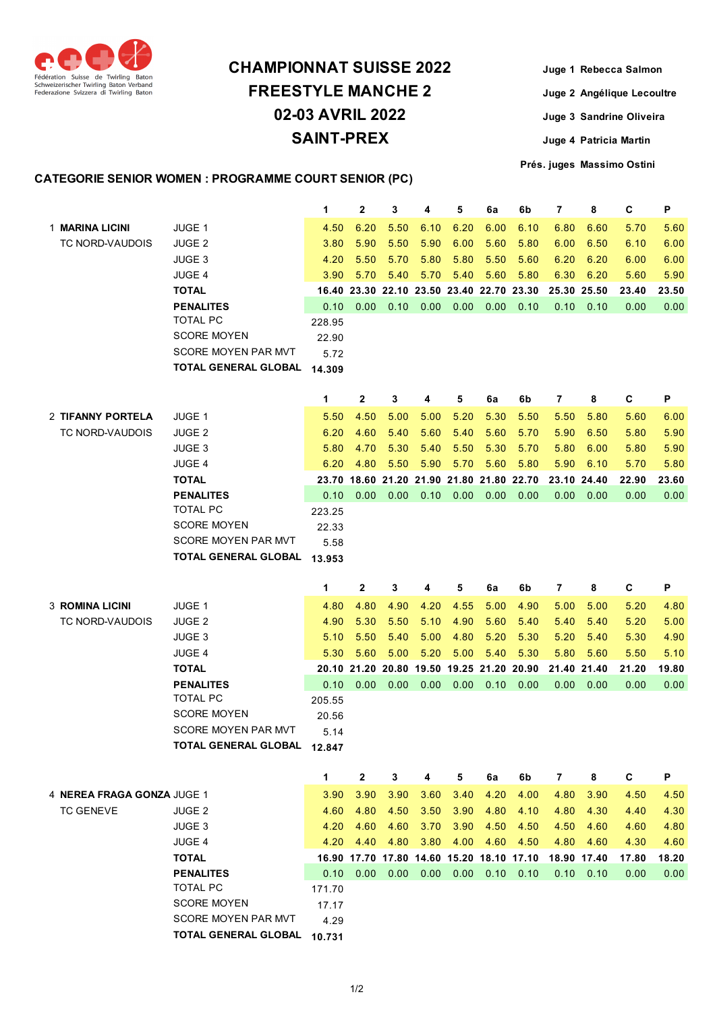

## **CHAMPIONNAT SUISSE 2022 FREESTYLE MANCHE 2 02-03 AVRIL 2022 SAINT-PREX**

**Juge 1 Rebecca Salmon Juge 2 Angélique Lecoultre Juge 3 Sandrine Oliveira Juge 4 Patricia Martin**

**Prés. juges Massimo Ostini**

## **CATEGORIE SENIOR WOMEN : PROGRAMME COURT SENIOR (PC)**

|                            |                                                    | 1              | 2                                         | 3                    | 4    | 5    | 6a   | 6b   | 7           | 8           | C     | P     |
|----------------------------|----------------------------------------------------|----------------|-------------------------------------------|----------------------|------|------|------|------|-------------|-------------|-------|-------|
| 1 MARINA LICINI            | <b>JUGE 1</b>                                      | 4.50           | 6.20                                      | 5.50                 | 6.10 | 6.20 | 6.00 | 6.10 | 6.80        | 6.60        | 5.70  | 5.60  |
| TC NORD-VAUDOIS            | JUGE 2                                             | 3.80           | 5.90                                      | 5.50                 | 5.90 | 6.00 | 5.60 | 5.80 | 6.00        | 6.50        | 6.10  | 6.00  |
|                            | <b>JUGE 3</b>                                      | 4.20           | 5.50                                      | 5.70                 | 5.80 | 5.80 | 5.50 | 5.60 | 6.20        | 6.20        | 6.00  | 6.00  |
|                            | <b>JUGE 4</b>                                      | 3.90           | 5.70                                      | 5.40                 | 5.70 | 5.40 | 5.60 | 5.80 | 6.30        | 6.20        | 5.60  | 5.90  |
|                            | <b>TOTAL</b>                                       |                | 16.40 23.30 22.10 23.50 23.40 22.70 23.30 |                      |      |      |      |      | 25.30 25.50 |             | 23.40 | 23.50 |
|                            | <b>PENALITES</b>                                   | 0.10           | 0.00                                      | 0.10                 | 0.00 | 0.00 | 0.00 | 0.10 | 0.10        | 0.10        | 0.00  | 0.00  |
|                            | <b>TOTAL PC</b>                                    | 228.95         |                                           |                      |      |      |      |      |             |             |       |       |
|                            | <b>SCORE MOYEN</b>                                 | 22.90          |                                           |                      |      |      |      |      |             |             |       |       |
|                            | <b>SCORE MOYEN PAR MVT</b>                         | 5.72           |                                           |                      |      |      |      |      |             |             |       |       |
|                            | <b>TOTAL GENERAL GLOBAL</b>                        | 14.309         |                                           |                      |      |      |      |      |             |             |       |       |
|                            |                                                    |                |                                           |                      |      |      |      |      |             |             |       |       |
|                            |                                                    | 1              | $\mathbf{2}$                              | 3                    | 4    | 5    | 6a   | 6b   | 7           | 8           | С     | P     |
| 2 TIFANNY PORTELA          | JUGE 1                                             | 5.50           | 4.50                                      | 5.00                 | 5.00 | 5.20 | 5.30 | 5.50 | 5.50        | 5.80        | 5.60  | 6.00  |
| TC NORD-VAUDOIS            | JUGE 2                                             | 6.20           | 4.60                                      | 5.40                 | 5.60 | 5.40 | 5.60 | 5.70 | 5.90        | 6.50        | 5.80  | 5.90  |
|                            | <b>JUGE 3</b>                                      | 5.80           | 4.70                                      | 5.30                 | 5.40 | 5.50 | 5.30 | 5.70 | 5.80        | 6.00        | 5.80  | 5.90  |
|                            | <b>JUGE 4</b>                                      | 6.20           | 4.80                                      | 5.50                 | 5.90 | 5.70 | 5.60 | 5.80 | 5.90        | 6.10        | 5.70  | 5.80  |
|                            | <b>TOTAL</b>                                       |                | 23.70 18.60 21.20 21.90 21.80 21.80 22.70 |                      |      |      |      |      | 23.10 24.40 |             | 22.90 | 23.60 |
|                            | <b>PENALITES</b>                                   | 0.10           | 0.00                                      | 0.00                 | 0.10 | 0.00 | 0.00 | 0.00 | 0.00        | 0.00        | 0.00  | 0.00  |
|                            | <b>TOTAL PC</b>                                    | 223.25         |                                           |                      |      |      |      |      |             |             |       |       |
|                            | <b>SCORE MOYEN</b>                                 | 22.33          |                                           |                      |      |      |      |      |             |             |       |       |
|                            | <b>SCORE MOYEN PAR MVT</b>                         | 5.58           |                                           |                      |      |      |      |      |             |             |       |       |
|                            | <b>TOTAL GENERAL GLOBAL</b>                        | 13.953         |                                           |                      |      |      |      |      |             |             |       |       |
|                            |                                                    |                |                                           |                      |      |      |      |      |             |             |       |       |
|                            |                                                    |                |                                           |                      |      |      |      |      |             |             |       |       |
|                            |                                                    | 1              | 2                                         | 3                    | 4    | 5    | 6a   | 6b   | 7           | 8           | C     | P     |
| <b>3 ROMINA LICINI</b>     | JUGE 1                                             | 4.80           | 4.80                                      | 4.90                 | 4.20 | 4.55 | 5.00 | 4.90 | 5.00        | 5.00        | 5.20  | 4.80  |
| TC NORD-VAUDOIS            | <b>JUGE 2</b>                                      | 4.90           | 5.30                                      | 5.50                 | 5.10 | 4.90 | 5.60 | 5.40 | 5.40        | 5.40        | 5.20  | 5.00  |
|                            | <b>JUGE 3</b>                                      | 5.10           | 5.50                                      | 5.40                 | 5.00 | 4.80 | 5.20 | 5.30 | 5.20        | 5.40        | 5.30  | 4.90  |
|                            | JUGE 4                                             | 5.30           | 5.60                                      | 5.00                 | 5.20 | 5.00 | 5.40 | 5.30 | 5.80        | 5.60        | 5.50  | 5.10  |
|                            | <b>TOTAL</b>                                       |                | 20.10 21.20 20.80 19.50 19.25 21.20 20.90 |                      |      |      |      |      | 21.40 21.40 |             | 21.20 | 19.80 |
|                            | <b>PENALITES</b><br><b>TOTAL PC</b>                | 0.10           | 0.00                                      | 0.00                 | 0.00 | 0.00 | 0.10 | 0.00 | 0.00        | 0.00        | 0.00  | 0.00  |
|                            | <b>SCORE MOYEN</b>                                 | 205.55         |                                           |                      |      |      |      |      |             |             |       |       |
|                            | SCORE MOYEN PAR MVT                                | 20.56<br>5.14  |                                           |                      |      |      |      |      |             |             |       |       |
|                            | TOTAL GENERAL GLOBAL 12.847                        |                |                                           |                      |      |      |      |      |             |             |       |       |
|                            |                                                    |                |                                           |                      |      |      |      |      |             |             |       |       |
|                            |                                                    | 1              | 2                                         | 3                    | 4    | 5    | 6a   | 6b   | 7           | 8           | С     | Ρ     |
| 4 NEREA FRAGA GONZA JUGE 1 |                                                    | 3.90           | 3.90                                      | 3.90                 | 3.60 | 3.40 | 4.20 | 4.00 | 4.80        | 3.90        | 4.50  | 4.50  |
| <b>TC GENEVE</b>           | JUGE <sub>2</sub>                                  | 4.60           | 4.80                                      | 4.50                 | 3.50 | 3.90 | 4.80 | 4.10 | 4.80        | 4.30        | 4.40  | 4.30  |
|                            | JUGE 3                                             | 4.20           | 4.60                                      | 4.60                 | 3.70 | 3.90 | 4.50 | 4.50 | 4.50        | 4.60        | 4.60  | 4.80  |
|                            | JUGE 4                                             | 4.20           | 4.40                                      | 4.80                 | 3.80 | 4.00 | 4.60 | 4.50 | 4.80        | 4.60        | 4.30  | 4.60  |
|                            | <b>TOTAL</b>                                       |                | 16.90 17.70 17.80 14.60 15.20 18.10 17.10 |                      |      |      |      |      |             | 18.90 17.40 | 17.80 | 18.20 |
|                            | <b>PENALITES</b>                                   | 0.10           | 0.00                                      | $0.00$ $0.00$ $0.00$ |      |      | 0.10 | 0.10 | 0.10        | 0.10        | 0.00  | 0.00  |
|                            | TOTAL PC                                           | 171.70         |                                           |                      |      |      |      |      |             |             |       |       |
|                            | <b>SCORE MOYEN</b>                                 | 17.17          |                                           |                      |      |      |      |      |             |             |       |       |
|                            | SCORE MOYEN PAR MVT<br><b>TOTAL GENERAL GLOBAL</b> | 4.29<br>10.731 |                                           |                      |      |      |      |      |             |             |       |       |